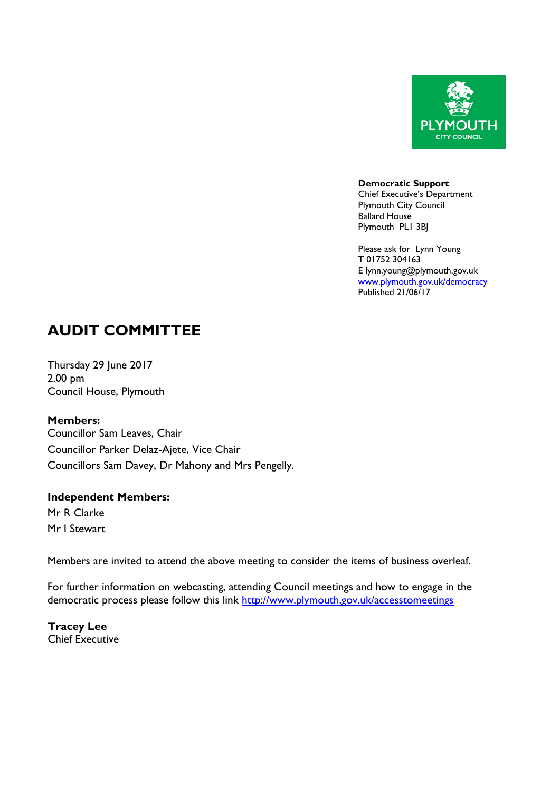

**Democratic Support** Chief Executive's Department Plymouth City Council Ballard House Plymouth PL1 3BJ

Please ask for Lynn Young T 01752 304163 E lynn.young@plymouth.gov.uk [www.plymouth.gov.uk](http://www.plymouth.gov.uk/)/democracy Published 21/06/17

# **AUDIT COMMITTEE**

Thursday 29 June 2017 2.00 pm Council House, Plymouth

**Members:**

Councillor Sam Leaves, Chair Councillor Parker Delaz-Ajete, Vice Chair Councillors Sam Davey, Dr Mahony and Mrs Pengelly.

# **Independent Members:**

Mr R Clarke Mr I Stewart

Members are invited to attend the above meeting to consider the items of business overleaf.

For further information on webcasting, attending Council meetings and how to engage in the democratic process please follow this link <http://www.plymouth.gov.uk/accesstomeetings>

**Tracey Lee** Chief Executive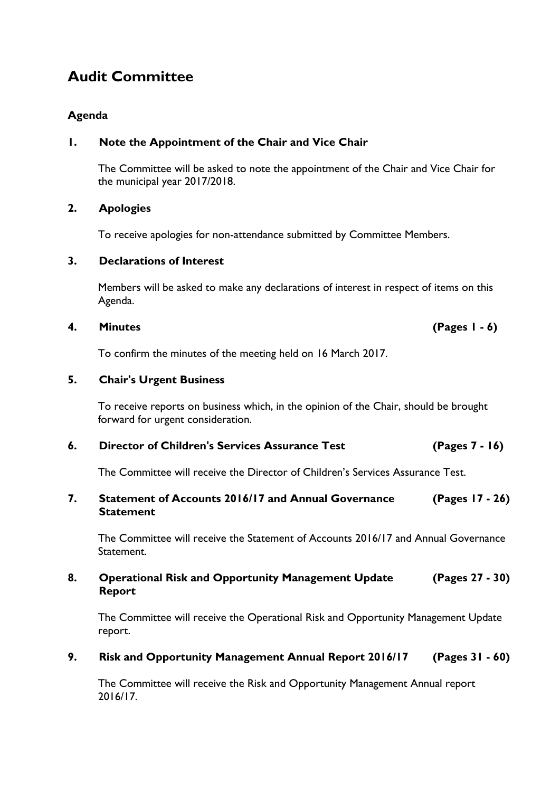# **Audit Committee**

# **Agenda**

# **1. Note the Appointment of the Chair and Vice Chair**

The Committee will be asked to note the appointment of the Chair and Vice Chair for the municipal year 2017/2018.

#### **2. Apologies**

To receive apologies for non-attendance submitted by Committee Members.

### **3. Declarations of Interest**

Members will be asked to make any declarations of interest in respect of items on this Agenda.

### **4. Minutes (Pages 1 - 6)**

To confirm the minutes of the meeting held on 16 March 2017.

# **5. Chair's Urgent Business**

To receive reports on business which, in the opinion of the Chair, should be brought forward for urgent consideration.

# **6. Director of Children's Services Assurance Test (Pages 7 - 16)**

The Committee will receive the Director of Children's Services Assurance Test.

#### **7. Statement of Accounts 2016/17 and Annual Governance Statement (Pages 17 - 26)**

The Committee will receive the Statement of Accounts 2016/17 and Annual Governance Statement.

#### **8. Operational Risk and Opportunity Management Update Report (Pages 27 - 30)**

The Committee will receive the Operational Risk and Opportunity Management Update report.

# **9. Risk and Opportunity Management Annual Report 2016/17 (Pages 31 - 60)**

The Committee will receive the Risk and Opportunity Management Annual report 2016/17.